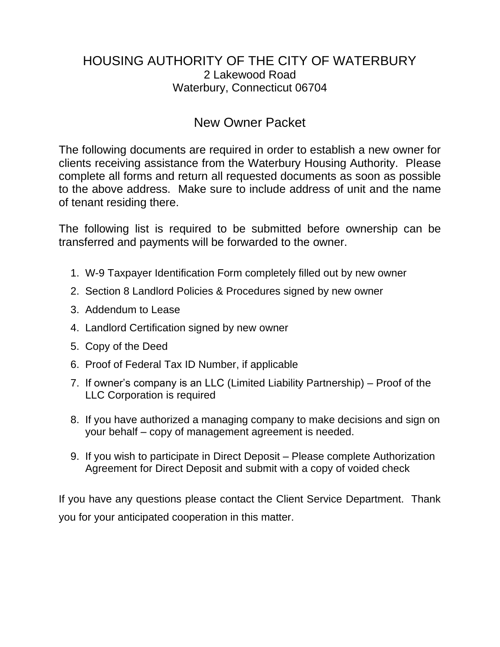# HOUSING AUTHORITY OF THE CITY OF WATERBURY 2 Lakewood Road Waterbury, Connecticut 06704

# New Owner Packet

The following documents are required in order to establish a new owner for clients receiving assistance from the Waterbury Housing Authority. Please complete all forms and return all requested documents as soon as possible to the above address. Make sure to include address of unit and the name of tenant residing there.

The following list is required to be submitted before ownership can be transferred and payments will be forwarded to the owner.

- 1. W-9 Taxpayer Identification Form completely filled out by new owner
- 2. Section 8 Landlord Policies & Procedures signed by new owner
- 3. Addendum to Lease
- 4. Landlord Certification signed by new owner
- 5. Copy of the Deed
- 6. Proof of Federal Tax ID Number, if applicable
- 7. If owner's company is an LLC (Limited Liability Partnership) Proof of the LLC Corporation is required
- 8. If you have authorized a managing company to make decisions and sign on your behalf – copy of management agreement is needed.
- 9. If you wish to participate in Direct Deposit Please complete Authorization Agreement for Direct Deposit and submit with a copy of voided check

If you have any questions please contact the Client Service Department. Thank you for your anticipated cooperation in this matter.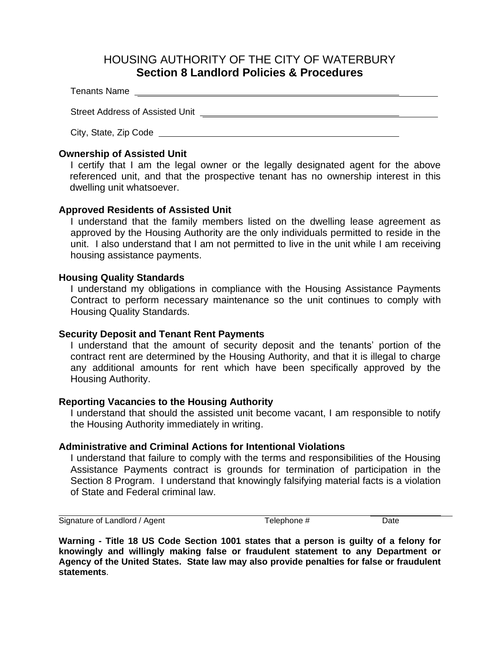## HOUSING AUTHORITY OF THE CITY OF WATERBURY **Section 8 Landlord Policies & Procedures**

Tenants Name

Street Address of Assisted Unit **Construction** Christian Christmas Christmas Christmas Christmas Christmas Christmas Christmas Christmas Christmas Christmas Christmas Christmas Christmas Christmas Christmas Christmas Chris

City, State, Zip Code

### **Ownership of Assisted Unit**

I certify that I am the legal owner or the legally designated agent for the above referenced unit, and that the prospective tenant has no ownership interest in this dwelling unit whatsoever.

### **Approved Residents of Assisted Unit**

I understand that the family members listed on the dwelling lease agreement as approved by the Housing Authority are the only individuals permitted to reside in the unit. I also understand that I am not permitted to live in the unit while I am receiving housing assistance payments.

### **Housing Quality Standards**

I understand my obligations in compliance with the Housing Assistance Payments Contract to perform necessary maintenance so the unit continues to comply with Housing Quality Standards.

#### **Security Deposit and Tenant Rent Payments**

I understand that the amount of security deposit and the tenants' portion of the contract rent are determined by the Housing Authority, and that it is illegal to charge any additional amounts for rent which have been specifically approved by the Housing Authority.

#### **Reporting Vacancies to the Housing Authority**

I understand that should the assisted unit become vacant, I am responsible to notify the Housing Authority immediately in writing.

### **Administrative and Criminal Actions for Intentional Violations**

I understand that failure to comply with the terms and responsibilities of the Housing Assistance Payments contract is grounds for termination of participation in the Section 8 Program. I understand that knowingly falsifying material facts is a violation of State and Federal criminal law.

Signature of Landlord / Agent Telephone # Date

**Warning - Title 18 US Code Section 1001 states that a person is guilty of a felony for knowingly and willingly making false or fraudulent statement to any Department or Agency of the United States. State law may also provide penalties for false or fraudulent statements**.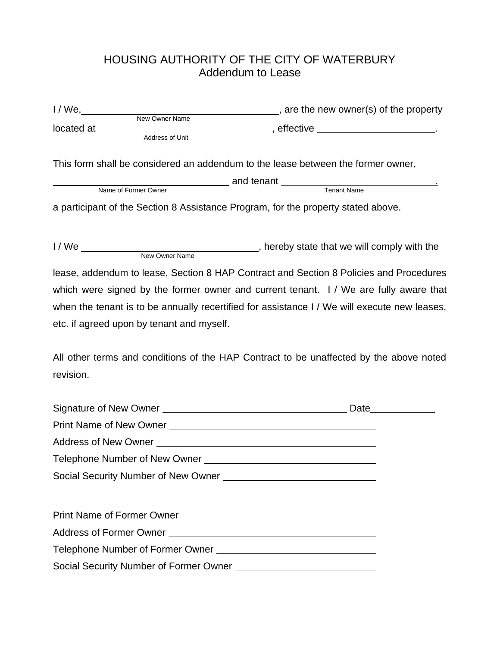# HOUSING AUTHORITY OF THE CITY OF WATERBURY Addendum to Lease

|                                           | I/We, New Owner Name enterpayment and the new owner(s) of the property                                                                                                                                                               |
|-------------------------------------------|--------------------------------------------------------------------------------------------------------------------------------------------------------------------------------------------------------------------------------------|
| located at _________                      | ______________________, effective ______________________________.                                                                                                                                                                    |
| Address of Unit                           |                                                                                                                                                                                                                                      |
|                                           | This form shall be considered an addendum to the lease between the former owner,                                                                                                                                                     |
|                                           | Name of Former Owner <b>Canal Community Community Community Community Community Community Community Community Community Community Community Community Community Community Community Community Community Community Community Comm</b> |
|                                           |                                                                                                                                                                                                                                      |
|                                           | a participant of the Section 8 Assistance Program, for the property stated above.                                                                                                                                                    |
|                                           |                                                                                                                                                                                                                                      |
|                                           | lease, addendum to lease, Section 8 HAP Contract and Section 8 Policies and Procedures                                                                                                                                               |
|                                           | which were signed by the former owner and current tenant. I / We are fully aware that                                                                                                                                                |
|                                           | when the tenant is to be annually recertified for assistance I / We will execute new leases,                                                                                                                                         |
| etc. if agreed upon by tenant and myself. |                                                                                                                                                                                                                                      |
|                                           |                                                                                                                                                                                                                                      |
|                                           | All other terms and conditions of the HAP Contract to be unaffected by the above noted                                                                                                                                               |
| revision.                                 |                                                                                                                                                                                                                                      |
|                                           |                                                                                                                                                                                                                                      |
|                                           |                                                                                                                                                                                                                                      |
|                                           |                                                                                                                                                                                                                                      |
|                                           |                                                                                                                                                                                                                                      |
|                                           |                                                                                                                                                                                                                                      |
|                                           | Social Security Number of New Owner                                                                                                                                                                                                  |
|                                           |                                                                                                                                                                                                                                      |
|                                           |                                                                                                                                                                                                                                      |
|                                           |                                                                                                                                                                                                                                      |
|                                           |                                                                                                                                                                                                                                      |
|                                           |                                                                                                                                                                                                                                      |